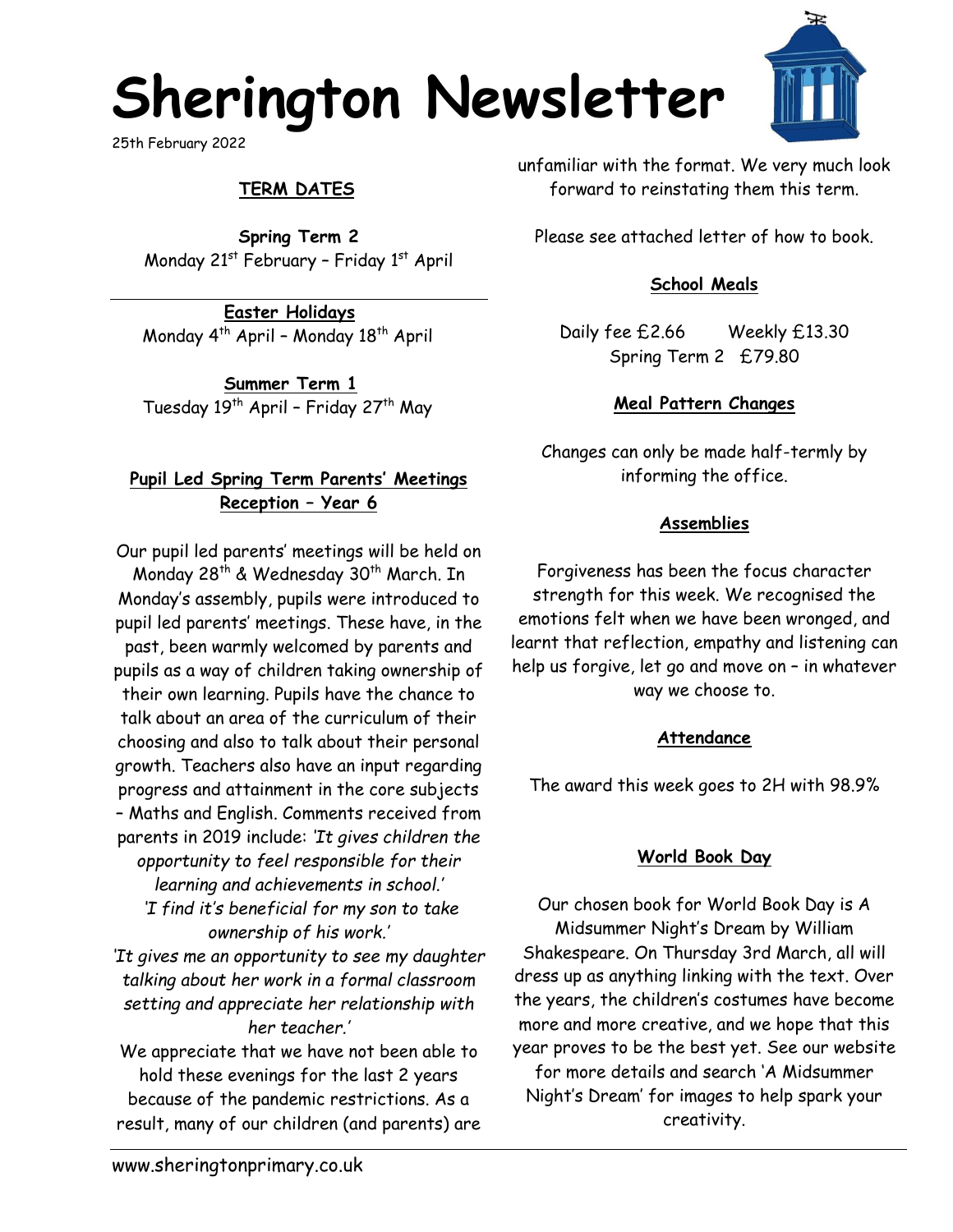# **Sherington Newsletter**

25th February 2022

# **TERM DATES**

**Spring Term 2** Monday 21<sup>st</sup> February - Friday 1<sup>st</sup> April

**Easter Holidays** Monday  $4^{th}$  April - Monday  $18^{th}$  April

**Summer Term 1** Tuesday 19<sup>th</sup> April - Friday 27<sup>th</sup> May

### **Pupil Led Spring Term Parents' Meetings Reception – Year 6**

Our pupil led parents' meetings will be held on Monday 28<sup>th</sup> & Wednesday 30<sup>th</sup> March. In Monday's assembly, pupils were introduced to pupil led parents' meetings. These have, in the past, been warmly welcomed by parents and pupils as a way of children taking ownership of their own learning. Pupils have the chance to talk about an area of the curriculum of their choosing and also to talk about their personal growth. Teachers also have an input regarding progress and attainment in the core subjects – Maths and English. Comments received from parents in 2019 include: *'It gives children the opportunity to feel responsible for their learning and achievements in school.' 'I find it's beneficial for my son to take ownership of his work.'* 

*'It gives me an opportunity to see my daughter talking about her work in a formal classroom setting and appreciate her relationship with her teacher.'*

We appreciate that we have not been able to hold these evenings for the last 2 years because of the pandemic restrictions. As a result, many of our children (and parents) are unfamiliar with the format. We very much look forward to reinstating them this term.

Please see attached letter of how to book.

#### **School Meals**

Daily fee £2.66 Weekly £13.30 Spring Term 2 £79.80

#### **Meal Pattern Changes**

Changes can only be made half-termly by informing the office.

#### **Assemblies**

Forgiveness has been the focus character strength for this week. We recognised the emotions felt when we have been wronged, and learnt that reflection, empathy and listening can help us forgive, let go and move on – in whatever way we choose to.

#### **Attendance**

The award this week goes to 2H with 98.9%

#### **World Book Day**

Our chosen book for World Book Day is A Midsummer Night's Dream by William Shakespeare. On Thursday 3rd March, all will dress up as anything linking with the text. Over the years, the children's costumes have become more and more creative, and we hope that this year proves to be the best yet. See our website for more details and search 'A Midsummer Night's Dream' for images to help spark your

creativity.

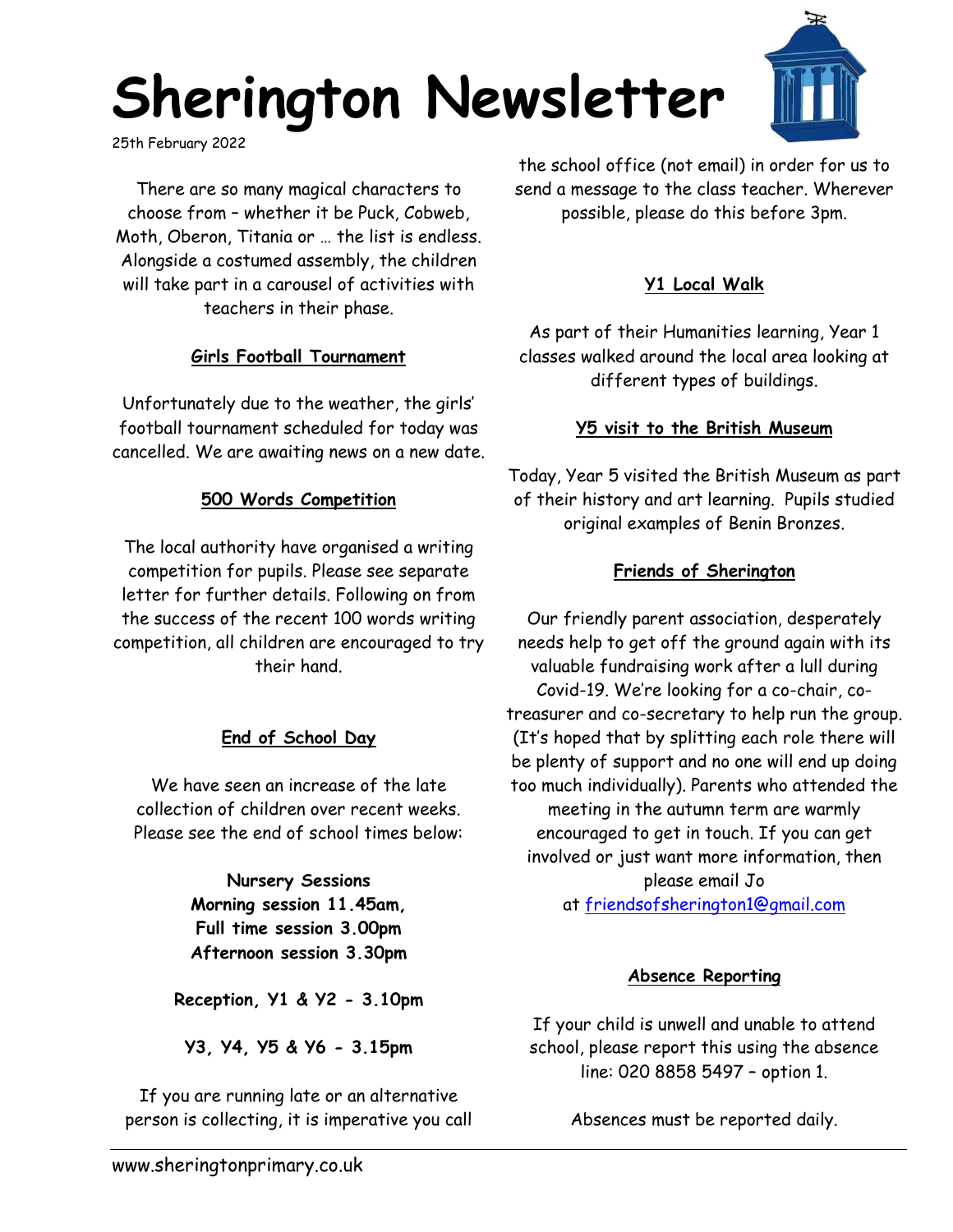# **Sherington Newsletter**

25th February 2022

There are so many magical characters to choose from – whether it be Puck, Cobweb, Moth, Oberon, Titania or … the list is endless. Alongside a costumed assembly, the children will take part in a carousel of activities with teachers in their phase.

## **Girls Football Tournament**

Unfortunately due to the weather, the girls' football tournament scheduled for today was cancelled. We are awaiting news on a new date.

#### **500 Words Competition**

The local authority have organised a writing competition for pupils. Please see separate letter for further details. Following on from the success of the recent 100 words writing competition, all children are encouraged to try their hand.

## **End of School Day**

We have seen an increase of the late collection of children over recent weeks. Please see the end of school times below:

> **Nursery Sessions Morning session 11.45am, Full time session 3.00pm Afternoon session 3.30pm**

**Reception, Y1 & Y2 - 3.10pm**

**Y3, Y4, Y5 & Y6 - 3.15pm**

If you are running late or an alternative person is collecting, it is imperative you call

the school office (not email) in order for us to send a message to the class teacher. Wherever possible, please do this before 3pm.

#### **Y1 Local Walk**

As part of their Humanities learning, Year 1 classes walked around the local area looking at different types of buildings.

#### **Y5 visit to the British Museum**

Today, Year 5 visited the British Museum as part of their history and art learning. Pupils studied original examples of Benin Bronzes.

#### **Friends of Sherington**

Our friendly parent association, desperately needs help to get off the ground again with its valuable fundraising work after a lull during Covid-19. We're looking for a co-chair, cotreasurer and co-secretary to help run the group. (It's hoped that by splitting each role there will be plenty of support and no one will end up doing too much individually). Parents who attended the meeting in the autumn term are warmly encouraged to get in touch. If you can get involved or just want more information, then please email Jo at [friendsofsherington1@gmail.com](mailto:friendsofsherington1@gmail.com)

#### **Absence Reporting**

If your child is unwell and unable to attend school, please report this using the absence line: 020 8858 5497 – option 1.

Absences must be reported daily.